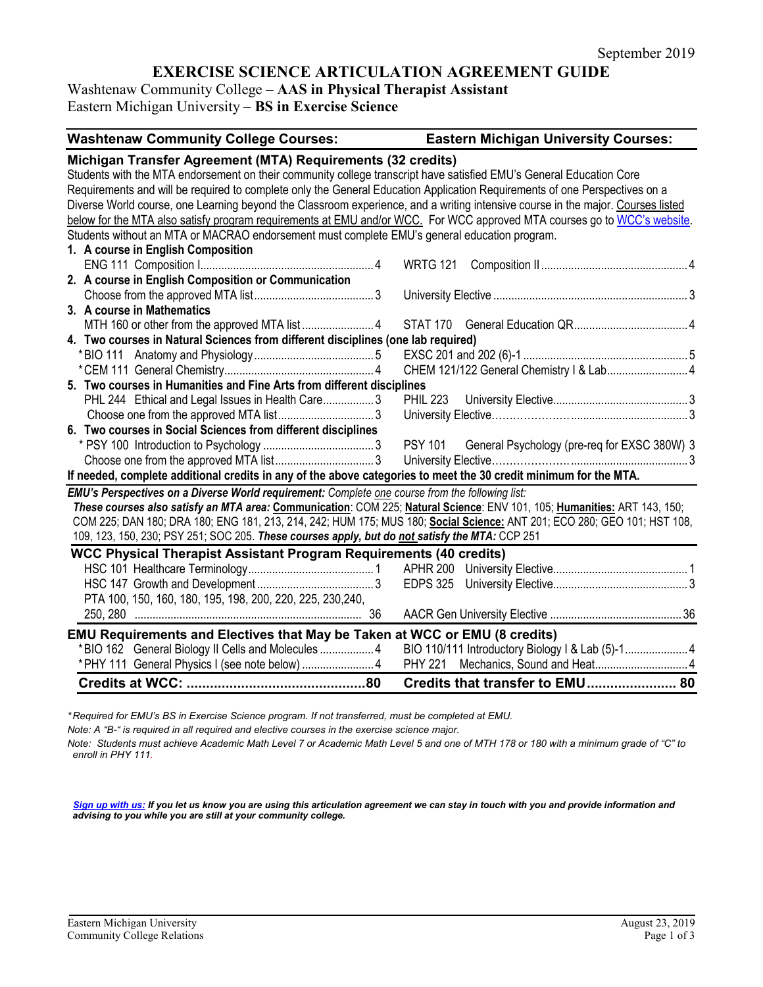# **EXERCISE SCIENCE ARTICULATION AGREEMENT GUIDE**

Washtenaw Community College – **AAS in Physical Therapist Assistant** Eastern Michigan University – **BS in Exercise Science**

| <b>Washtenaw Community College Courses:</b>                                                                                     | <b>Eastern Michigan University Courses:</b>          |  |  |
|---------------------------------------------------------------------------------------------------------------------------------|------------------------------------------------------|--|--|
| Michigan Transfer Agreement (MTA) Requirements (32 credits)                                                                     |                                                      |  |  |
| Students with the MTA endorsement on their community college transcript have satisfied EMU's General Education Core             |                                                      |  |  |
| Requirements and will be required to complete only the General Education Application Requirements of one Perspectives on a      |                                                      |  |  |
| Diverse World course, one Learning beyond the Classroom experience, and a writing intensive course in the major. Courses listed |                                                      |  |  |
| below for the MTA also satisfy program requirements at EMU and/or WCC. For WCC approved MTA courses go to WCC's website.        |                                                      |  |  |
| Students without an MTA or MACRAO endorsement must complete EMU's general education program.                                    |                                                      |  |  |
| 1. A course in English Composition                                                                                              |                                                      |  |  |
|                                                                                                                                 |                                                      |  |  |
| 2. A course in English Composition or Communication                                                                             |                                                      |  |  |
|                                                                                                                                 |                                                      |  |  |
| 3. A course in Mathematics                                                                                                      |                                                      |  |  |
|                                                                                                                                 |                                                      |  |  |
| 4. Two courses in Natural Sciences from different disciplines (one lab required)                                                |                                                      |  |  |
|                                                                                                                                 |                                                      |  |  |
|                                                                                                                                 | CHEM 121/122 General Chemistry   & Lab 4             |  |  |
| 5. Two courses in Humanities and Fine Arts from different disciplines                                                           |                                                      |  |  |
| PHL 244 Ethical and Legal Issues in Health Care3                                                                                |                                                      |  |  |
|                                                                                                                                 |                                                      |  |  |
| 6. Two courses in Social Sciences from different disciplines                                                                    |                                                      |  |  |
|                                                                                                                                 | PSY 101 General Psychology (pre-req for EXSC 380W) 3 |  |  |
|                                                                                                                                 |                                                      |  |  |
| If needed, complete additional credits in any of the above categories to meet the 30 credit minimum for the MTA.                |                                                      |  |  |
| EMU's Perspectives on a Diverse World requirement: Complete one course from the following list:                                 |                                                      |  |  |
| These courses also satisfy an MTA area: Communication: COM 225; Natural Science: ENV 101, 105; Humanities: ART 143, 150;        |                                                      |  |  |
| COM 225; DAN 180; DRA 180; ENG 181, 213, 214, 242; HUM 175; MUS 180; Social Science: ANT 201; ECO 280; GEO 101; HST 108,        |                                                      |  |  |
| 109, 123, 150, 230; PSY 251; SOC 205. These courses apply, but do not satisfy the MTA: CCP 251                                  |                                                      |  |  |
| <b>WCC Physical Therapist Assistant Program Requirements (40 credits)</b>                                                       |                                                      |  |  |
|                                                                                                                                 |                                                      |  |  |
|                                                                                                                                 |                                                      |  |  |
| PTA 100, 150, 160, 180, 195, 198, 200, 220, 225, 230, 240,                                                                      |                                                      |  |  |
|                                                                                                                                 |                                                      |  |  |
| <b>EMU Requirements and Electives that May be Taken at WCC or EMU (8 credits)</b>                                               |                                                      |  |  |
| *BIO 162 General Biology II Cells and Molecules 4                                                                               |                                                      |  |  |
| *PHY 111 General Physics I (see note below)  4                                                                                  |                                                      |  |  |
|                                                                                                                                 | Credits that transfer to EMU 80                      |  |  |

*\* Required for EMU's BS in Exercise Science program. If not transferred, must be completed at EMU.* 

*Note: A "B-" is required in all required and elective courses in the exercise science major.*

*Note: Students must achieve Academic Math Level 7 or Academic Math Level 5 and one of MTH 178 or 180 with a minimum grade of "C" to enroll in PHY 111.*

*[Sign up with us:](https://www.emich.edu/ccr/articulation-agreements/signup.php) If you let us know you are using this articulation agreement we can stay in touch with you and provide information and advising to you while you are still at your community college.*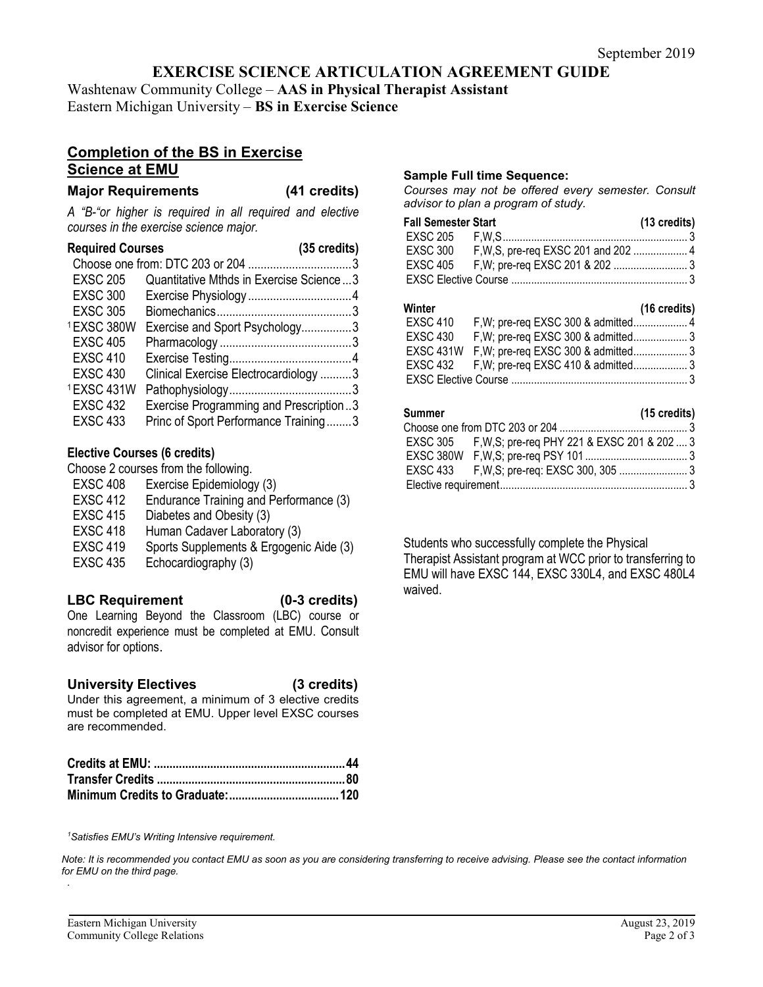## **EXERCISE SCIENCE ARTICULATION AGREEMENT GUIDE**

Washtenaw Community College – **AAS in Physical Therapist Assistant** Eastern Michigan University – **BS in Exercise Science**

## **Completion of the BS in Exercise Science at EMU**

#### **Major Requirements (41 credits)**

*A "B-"or higher is required in all required and elective courses in the exercise science major.*

#### **Required Courses (35 credits)**

| <b>EXSC 205</b> | Quantitative Mthds in Exercise Science3 |  |
|-----------------|-----------------------------------------|--|
| <b>EXSC 300</b> |                                         |  |
| <b>EXSC 305</b> |                                         |  |
| 1EXSC 380W      | Exercise and Sport Psychology3          |  |
| <b>EXSC 405</b> |                                         |  |
| <b>EXSC 410</b> |                                         |  |
| <b>EXSC 430</b> | Clinical Exercise Electrocardiology 3   |  |
| 1EXSC 431W      |                                         |  |
| <b>EXSC 432</b> | Exercise Programming and Prescription3  |  |
| <b>EXSC 433</b> | Princ of Sport Performance Training3    |  |

#### **Elective Courses (6 credits)**

Choose 2 courses from the following. EXSC 408 Exercise Epidemiology (3) EXSC 412 Endurance Training and Performance (3) EXSC 415 Diabetes and Obesity (3) EXSC 418 Human Cadaver Laboratory (3) EXSC 419 Sports Supplements & Ergogenic Aide (3) EXSC 435 Echocardiography (3)

## **LBC Requirement (0-3 credits)**

One Learning Beyond the Classroom (LBC) course or noncredit experience must be completed at EMU. Consult advisor for options.

### **University Electives (3 credits)**

Under this agreement, a minimum of 3 elective credits must be completed at EMU. Upper level EXSC courses are recommended.

#### **Sample Full time Sequence:**

*Courses may not be offered every semester. Consult advisor to plan a program of study.*

|          | <b>Fall Semester Start</b> | $(13 \text{ credits})$ |
|----------|----------------------------|------------------------|
|          |                            |                        |
| EXSC 300 |                            |                        |
|          |                            |                        |
|          |                            |                        |

#### **Winter (16 credits)**

| ,,,,,,,,,       |                                               | $110$ viverty |
|-----------------|-----------------------------------------------|---------------|
| <b>EXSC 410</b> |                                               |               |
| EXSC 430        |                                               |               |
|                 | EXSC 431W F, W; pre-req EXSC 300 & admitted 3 |               |
|                 | EXSC 432 F, W; pre-req EXSC 410 & admitted3   |               |
|                 |                                               |               |

## **Summer (15 credits)**

| EXSC 305 F, W, S; pre-req PHY 221 & EXSC 201 & 202  3 |
|-------------------------------------------------------|

Students who successfully complete the Physical Therapist Assistant program at WCC prior to transferring to EMU will have EXSC 144, EXSC 330L4, and EXSC 480L4 waived.

*1 Satisfies EMU's Writing Intensive requirement.* 

*Note: It is recommended you contact EMU as soon as you are considering transferring to receive advising. Please see the contact information for EMU on the third page. .*